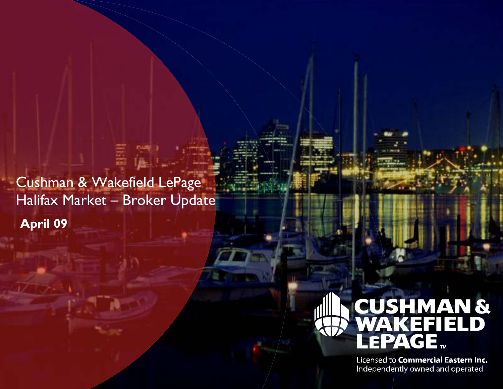Cushman & Wakefield LePage Halifax Market - Broker Update **April 09** 



Licensed to Commercial Eastern Inc. Independently owned and operated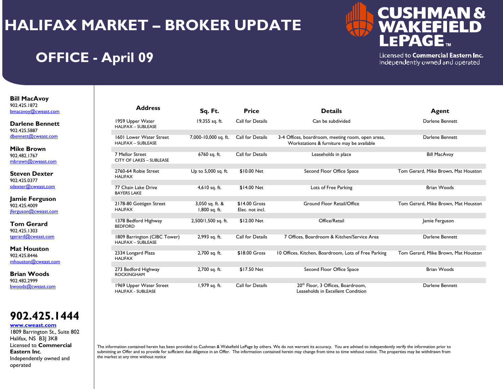

## **OFFICE - April 09**

Licensed to Commercial Eastern Inc. Independently owned and operated

**Bill MacAvoy**  902.425.1872 bmacavoy@cweast.com

**Darlene Bennett**902.425.5887 dbennett@cweast.com

**Mike Brown**902.482.1767 mbrown@cweast.com

**Steven Dexter**902.425.0377 sdexter@cweast.com

**Jamie Ferguson** 902.425.4009 jferguson@cweast.com

**Tom Gerard**902.425.1303 tgerard@cweast.com

**Mat Houston**902.425.8446 mhouston@cweast.com

**Brian Woods**902.482.2999 bwoods@cweast.com

### **902.425.1444**

**www.cweast.com**

1809 Barrington St., Suite 802 Halifax, NS B3J 3K8 Licensed to **Commercial Eastern Inc**. Independently owned and operated

| <b>Address</b>                                            | Sq. Ft.                          | <b>Price</b>                      | <b>Details</b>                                                                                 | Agent                               |
|-----------------------------------------------------------|----------------------------------|-----------------------------------|------------------------------------------------------------------------------------------------|-------------------------------------|
| 1959 Upper Water<br><b>HALIFAX - SUBLEASE</b>             | 19,355 sq. ft.                   | Call for Details                  | Can be subdivided                                                                              | Darlene Bennett                     |
| 1601 Lower Water Street<br><b>HALIFAX - SUBLEASE</b>      | 7,000-10,000 sq. ft.             | Call for Details                  | 3-4 Offices, boardroom, meeting room, open areas,<br>Workstations & furniture may be available | Darlene Bennett                     |
| 7 Mellor Street<br><b>CITY OF LAKES - SUBLEASE</b>        | 6760 sq. ft.                     | Call for Details                  | Leaseholds in place                                                                            | <b>Bill MacAvoy</b>                 |
| 2760-64 Robie Street<br><b>HALIFAX</b>                    | Up to 5,000 sq. ft.              | \$10.00 Net                       | Second Floor Office Space                                                                      | Tom Gerard, Mike Brown, Mat Houston |
| 77 Chain Lake Drive<br><b>BAYERS LAKE</b>                 | 4,610 sq. ft.                    | \$14.00 Net                       | Lots of Free Parking                                                                           | <b>Brian Woods</b>                  |
| 2178-80 Gottigen Street<br><b>HALIFAX</b>                 | 3,050 sq. ft. &<br>1,800 sq. ft. | $$14.00$ Gross<br>Elec. not incl. | <b>Ground Floor Retail/Office</b>                                                              | Tom Gerard, Mike Brown, Mat Houston |
| 1378 Bedford Highway<br><b>BEDFORD</b>                    | 2,500/1,500 sq. ft.              | \$12.00 Net                       | Office/Retail                                                                                  | Jamie Ferguson                      |
| 1809 Barrington (CIBC Tower)<br><b>HALIFAX - SUBLEASE</b> | 2,993 sq. ft.                    | Call for Details                  | 7 Offices, Boardroom & Kitchen/Service Area                                                    | Darlene Bennett                     |
| 2334 Longard Plaza<br><b>HALIFAX</b>                      | 2,700 sq. ft.                    | \$18.00 Gross                     | 10 Offices, Kitchen, Boardroom, Lots of Free Parking                                           | Tom Gerard, Mike Brown, Mat Houston |
| 273 Bedford Highway<br><b>ROCKINGHAM</b>                  | 2,700 sq. ft.                    | \$17.50 Net                       | Second Floor Office Space                                                                      | <b>Brian Woods</b>                  |
| 1969 Upper Water Street<br><b>HALIFAX - SUBLEASE</b>      | 1,979 sq. ft.                    | Call for Details                  | 20 <sup>th</sup> Floor, 3 Offices, Boardroom,<br>Leaseholds in Excellent Condition             | Darlene Bennett                     |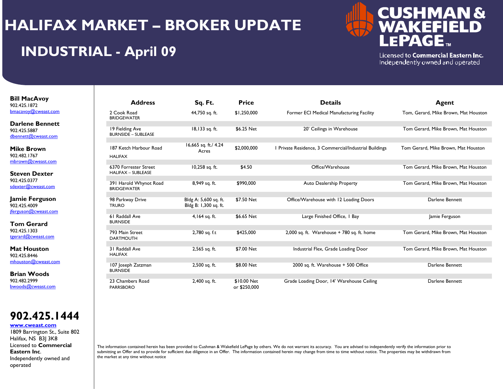## **INDUSTRIAL - April 09**



Licensed to Commercial Eastern Inc. Independently owned and operated

#### **Bill MacAvoy**  902.425.1872 bmacavoy@cweast.com

**Darlene Bennett**902.425.5887 dbennett@cweast.com

**Mike Brown**902.482.1767 mbrown@cweast.com

**Steven Dexter**902.425.0377 sdexter@cweast.com

**Jamie Ferguson** 902.425.4009 jferguson@cweast.com

**Tom Gerard**902.425.1303 tgerard@cweast.com

**Mat Houston**902.425.8446 mhouston@cweast.com

**Brian Woods**902.482.2999 bwoods@cweast.com



#### **www.cweast.com**

1809 Barrington St., Suite 802 Halifax, NS B3J 3K8 Licensed to **Commercial Eastern Inc**. Independently owned and operated

| <b>Address</b>                                     | Sq. Ft.                                        | <b>Price</b>                | <b>Details</b>                                         | <b>Agent</b>                         |
|----------------------------------------------------|------------------------------------------------|-----------------------------|--------------------------------------------------------|--------------------------------------|
| 2 Cook Road<br><b>BRIDGEWATER</b>                  | 44,750 sq. ft.                                 | \$1,250,000                 | Former ECI Medical Manufacturing Facility              | Tom, Gerard, Mike Brown, Mat Houston |
| 19 Fielding Ave<br><b>BURNSIDE - SUBLEASE</b>      | 18,133 sq. ft.                                 | \$6.25 Net                  | 20' Ceilings in Warehouse                              | Tom Gerard, Mike Brown, Mat Houston  |
| 187 Ketch Harbour Road<br><b>HALIFAX</b>           | 16,665 sq. ft./ 4.24<br>Acres                  | \$2,000,000                 | I Private Residence, 3 Commercial/Industrial Buildings | Tom Gerard, Mike Brown, Mat Houston  |
| 6370 Forrester Street<br><b>HALIFAX - SUBLEASE</b> | 10,258 sq. ft.                                 | \$4.50                      | Office/Warehouse                                       | Tom Gerard, Mike Brown, Mat Houston  |
| 391 Harold Whynot Road<br><b>BRIDGEWATER</b>       | 8,949 sq. ft.                                  | \$990,000                   | <b>Auto Dealership Property</b>                        | Tom Gerard, Mike Brown, Mat Houston  |
| 98 Parkway Drive<br><b>TRURO</b>                   | Bldg A: 5,600 sq. ft.<br>Bldg B: 1,300 sq. ft. | \$7.50 Net                  | Office/Warehouse with 12 Loading Doors                 | Darlene Bennett                      |
| 61 Raddall Ave<br><b>BURNSIDE</b>                  | 4,164 sq. ft.                                  | \$6.65 Net                  | Large Finished Office, I Bay                           | Jamie Ferguson                       |
| 793 Main Street<br><b>DARTMOUTH</b>                | 2,780 sq. f.t                                  | \$425,000                   | 2,000 sq. ft. Warehouse $+$ 780 sq. ft. home           | Tom Gerard, Mike Brown, Mat Houston  |
| 31 Raddall Ave<br><b>HALIFAX</b>                   | 2,565 sq. ft.                                  | \$7.00 Net                  | Industrial Flex, Grade Loading Door                    | Tom Gerard, Mike Brown, Mat Houston  |
| 107 Joseph Zatzman<br><b>BURNSIDE</b>              | 2,500 sq. ft.                                  | \$8.00 Net                  | 2000 sq. ft. Warehouse + 500 Office                    | Darlene Bennett                      |
| 23 Chambers Road<br><b>PARRSBORO</b>               | 2,400 sq. ft.                                  | \$10.00 Net<br>or \$250,000 | Grade Loading Door, 14' Warehouse Ceiling              | Darlene Bennett                      |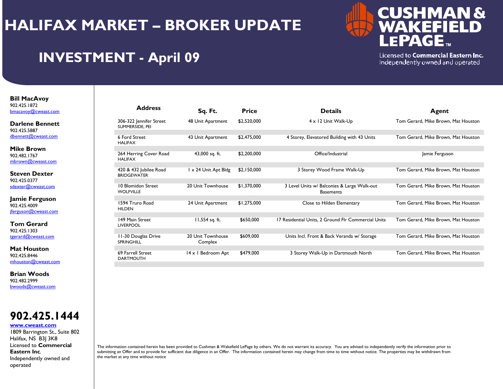

## **INVESTMENT - April 09**

Licensed to Commercial Eastern Inc. Independently owned and operated

#### **Bill MacAvoy**  902.425.1872 bmacavoy@cweast.com

**Darlene Bennett**902.425.5887 dbennett@cweast.com

**Mike Brown**902.482.1767 mbrown@cweast.com

**Steven Dexter**902.425.0377 sdexter@cweast.com

**Jamie Ferguson** 902.425.4009 jferguson@cweast.com

**Tom Gerard**902.425.1303 tgerard@cweast.com

**Mat Houston**902.425.8446 mhouston@cweast.com

**Brian Woods**902.482.2999 bwoods@cweast.com



#### **www.cweast.com**

1809 Barrington St., Suite 802 Halifax, NS B3J 3K8 Licensed to **Commercial Eastern Inc**. Independently owned and operated

| <b>Address</b>                               | Sq. Ft.                      | <b>Price</b> | <b>Details</b>                                                  | Agent                               |
|----------------------------------------------|------------------------------|--------------|-----------------------------------------------------------------|-------------------------------------|
| 306-322 Jennifer Street<br>SUMMERSIDE, PEI   | 48 Unit Apartment            | \$2,520,000  | $4 \times 12$ Unit Walk-Up                                      | Tom Gerard, Mike Brown, Mat Houston |
| 6 Ford Street<br><b>HALIFAX</b>              | 43 Unit Apartment            | \$2,475,000  | 4 Storey, Elevatored Building with 43 Units                     | Tom Gerard, Mike Brown, Mat Houston |
| 264 Herring Cover Road<br><b>HALIFAX</b>     | 43,000 sq. ft.               | \$2,200,000  | Office/Industrial                                               | Jamie Ferguson                      |
| 420 & 432 Jubilee Road<br><b>BRIDGEWATER</b> | 1 x 24 Unit Apt Bldg         | \$2,150,000  | 3 Storey Wood Frame Walk-Up                                     | Tom Gerard, Mike Brown, Mat Houston |
| 10 Blomidon Street<br><b>WOLFVILLE</b>       | 20 Unit Townhouse            | \$1,370,000  | 3 Level Units w/ Balconies & Large Walk-out<br><b>Basements</b> | Tom Gerard, Mike Brown, Mat Houston |
| 1594 Truro Road<br><b>HILDEN</b>             | 24 Unit Apartment            | \$1,275,000  | Close to Hilden Elementary                                      | Tom Gerard, Mike Brown, Mat Houston |
| 149 Main Street<br><b>LIVERPOOL</b>          | 11,554 sq. ft.               | \$650,000    | 17 Residential Units, 2 Ground Flr Commercial Units             | Tom Gerard, Mike Brown, Mat Houston |
| 11-30 Douglas Drive<br><b>SPRINGHILL</b>     | 20 Unit Townhouse<br>Complex | \$609,000    | Units Incl. Front & Back Veranda w/ Storage                     | Tom Gerard, Mike Brown, Mat Houston |
| 69 Farrell Street<br><b>DARTMOUTH</b>        | 14 x 1 Bedroom Apt           | \$479,000    | 3 Storey Walk-Up in Dartmouth North                             | Tom Gerard, Mike Brown, Mat Houston |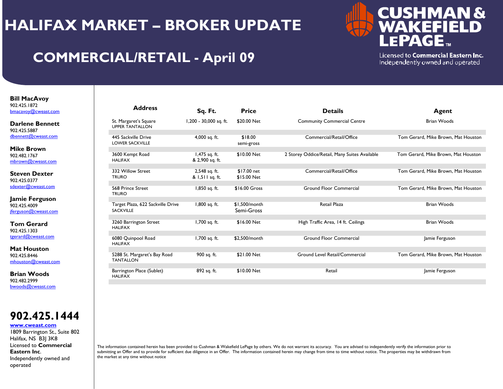

## **COMMERCIAL/RETAIL - April 09**

Licensed to Commercial Eastern Inc. Independently owned and operated

**Bill MacAvoy**  902.425.1872 bmacavoy@cweast.com

**Darlene Bennett**902.425.5887 dbennett@cweast.com

**Mike Brown**902.482.1767 mbrown@cweast.com

**Steven Dexter**902.425.0377 sdexter@cweast.com

**Jamie Ferguson** 902.425.4009 jferguson@cweast.com

**Tom Gerard**902.425.1303 tgerard@cweast.com

**Mat Houston**902.425.8446 mhouston@cweast.com

**Brian Woods**902.482.2999 bwoods@cweast.com

**902.425.1444**

#### **www.cweast.com**

1809 Barrington St., Suite 802 Halifax, NS B3J 3K8 Licensed to **Commercial Eastern Inc**. Independently owned and operated

| <b>Address</b>                                        | Sq. Ft.                          | <b>Price</b>                | <b>Details</b>                                | Agent                               |
|-------------------------------------------------------|----------------------------------|-----------------------------|-----------------------------------------------|-------------------------------------|
| St. Margaret's Square<br><b>UPPER TANTALLON</b>       | 1,200 - 30,000 sq. ft.           | \$20.00 Net                 | <b>Community Commercial Centre</b>            | <b>Brian Woods</b>                  |
| 445 Sackville Drive<br><b>LOWER SACKVILLE</b>         | 4,000 sq. ft.                    | \$18.00<br>semi-gross       | Commercial/Retail/Office                      | Tom Gerard, Mike Brown, Mat Houston |
| 3600 Kempt Road<br><b>HALIFAX</b>                     | 1,475 sq. ft.<br>& 2,900 sq. ft. | \$10.00 Net                 | 2 Storey Oddice/Retail, Many Suites Available | Tom Gerard, Mike Brown, Mat Houston |
| 332 Willow Street<br><b>TRURO</b>                     | 2,548 sq. ft.<br>& 1,511 sq. ft. | \$17.00 net<br>\$15.00 Net  | Commercial/Retail/Office                      | Tom Gerard, Mike Brown, Mat Houston |
| 568 Prince Street<br><b>TRURO</b>                     | 1,850 sq. ft.                    | \$16.00 Gross               | <b>Ground Floor Commercial</b>                | Tom Gerard, Mike Brown, Mat Houston |
| Target Plaza, 622 Sackville Drive<br><b>SACKVILLE</b> | 1,800 sq. ft.                    | \$1.500/month<br>Semi-Gross | <b>Retail Plaza</b>                           | <b>Brian Woods</b>                  |
| 3260 Barrington Street<br><b>HALIFAX</b>              | 1,700 sq. ft.                    | \$16.00 Net                 | High Traffic Area, 14 ft. Ceilings            | <b>Brian Woods</b>                  |
| 6080 Quinpool Road<br><b>HALIFAX</b>                  | 1,700 sq. ft.                    | \$2.500/month               | <b>Ground Floor Commercial</b>                | Jamie Ferguson                      |
| 5288 St. Margaret's Bay Road<br><b>TANTALLON</b>      | 900 sq. ft.                      | \$21.00 Net                 | Ground Level Retail/Commercial                | Tom Gerard, Mike Brown, Mat Houston |
| Barrington Place (Sublet)<br><b>HALIFAX</b>           | 892 sq. ft.                      | \$10.00 Net                 | Retail                                        | Jamie Ferguson                      |